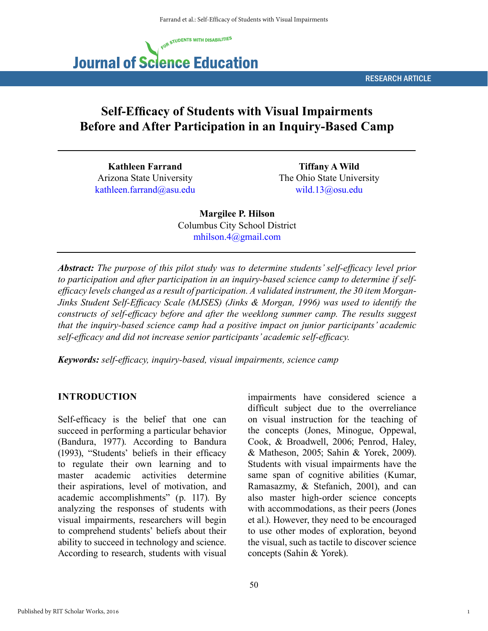

RESEARCH ARTICLE

# **Self-Efficacy of Students with Visual Impairments Before and After Participation in an Inquiry-Based Camp**

**Kathleen Farrand** Arizona State University kathleen.farrand@asu.edu

**Tiffany A Wild** The Ohio State University wild.13@osu.edu

**Margilee P. Hilson** Columbus City School District mhilson.4@gmail.com

*Abstract: The purpose of this pilot study was to determine students' self-efficacy level prior to participation and after participation in an inquiry-based science camp to determine if selfefficacy levels changed as a result of participation. A validated instrument, the 30 item Morgan-Jinks Student Self-Efficacy Scale (MJSES) (Jinks & Morgan, 1996) was used to identify the constructs of self-efficacy before and after the weeklong summer camp. The results suggest that the inquiry-based science camp had a positive impact on junior participants' academic self-efficacy and did not increase senior participants' academic self-efficacy.*

*Keywords: self-efficacy, inquiry-based, visual impairments, science camp*

### **INTRODUCTION**

Self-efficacy is the belief that one can succeed in performing a particular behavior (Bandura, 1977). According to Bandura (1993), "Students' beliefs in their efficacy to regulate their own learning and to master academic activities determine their aspirations, level of motivation, and academic accomplishments" (p. 117). By analyzing the responses of students with visual impairments, researchers will begin to comprehend students' beliefs about their ability to succeed in technology and science. According to research, students with visual impairments have considered science a difficult subject due to the overreliance on visual instruction for the teaching of the concepts (Jones, Minogue, Oppewal, Cook, & Broadwell, 2006; Penrod, Haley, & Matheson, 2005; Sahin & Yorek, 2009). Students with visual impairments have the same span of cognitive abilities (Kumar, Ramasazmy, & Stefanich, 2001), and can also master high-order science concepts with accommodations, as their peers (Jones et al.). However, they need to be encouraged to use other modes of exploration, beyond the visual, such as tactile to discover science concepts (Sahin & Yorek).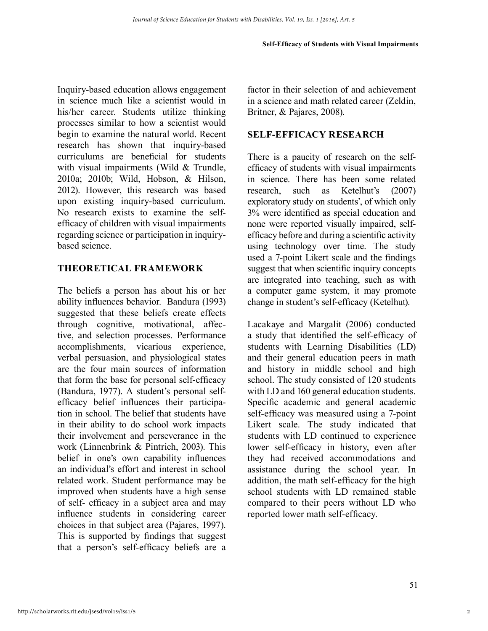Inquiry-based education allows engagement in science much like a scientist would in his/her career. Students utilize thinking processes similar to how a scientist would begin to examine the natural world. Recent research has shown that inquiry-based curriculums are beneficial for students with visual impairments (Wild & Trundle, 2010a; 2010b; Wild, Hobson, & Hilson, 2012). However, this research was based upon existing inquiry-based curriculum. No research exists to examine the selfefficacy of children with visual impairments regarding science or participation in inquirybased science.

## **THEORETICAL FRAMEWORK**

The beliefs a person has about his or her ability influences behavior. Bandura (1993) suggested that these beliefs create effects through cognitive, motivational, affective, and selection processes. Performance accomplishments, vicarious experience, verbal persuasion, and physiological states are the four main sources of information that form the base for personal self-efficacy (Bandura, 1977). A student's personal selfefficacy belief influences their participation in school. The belief that students have in their ability to do school work impacts their involvement and perseverance in the work (Linnenbrink & Pintrich, 2003). This belief in one's own capability influences an individual's effort and interest in school related work. Student performance may be improved when students have a high sense of self- efficacy in a subject area and may influence students in considering career choices in that subject area (Pajares, 1997). This is supported by findings that suggest that a person's self-efficacy beliefs are a factor in their selection of and achievement in a science and math related career (Zeldin, Britner, & Pajares, 2008).

## **SELF-EFFICACY RESEARCH**

There is a paucity of research on the selfefficacy of students with visual impairments in science. There has been some related research, such as Ketelhut's (2007) exploratory study on students', of which only 3% were identified as special education and none were reported visually impaired, selfefficacy before and during a scientific activity using technology over time. The study used a 7-point Likert scale and the findings suggest that when scientific inquiry concepts are integrated into teaching, such as with a computer game system, it may promote change in student's self-efficacy (Ketelhut).

Lacakaye and Margalit (2006) conducted a study that identified the self-efficacy of students with Learning Disabilities (LD) and their general education peers in math and history in middle school and high school. The study consisted of 120 students with LD and 160 general education students. Specific academic and general academic self-efficacy was measured using a 7-point Likert scale. The study indicated that students with LD continued to experience lower self-efficacy in history, even after they had received accommodations and assistance during the school year. In addition, the math self-efficacy for the high school students with LD remained stable compared to their peers without LD who reported lower math self-efficacy.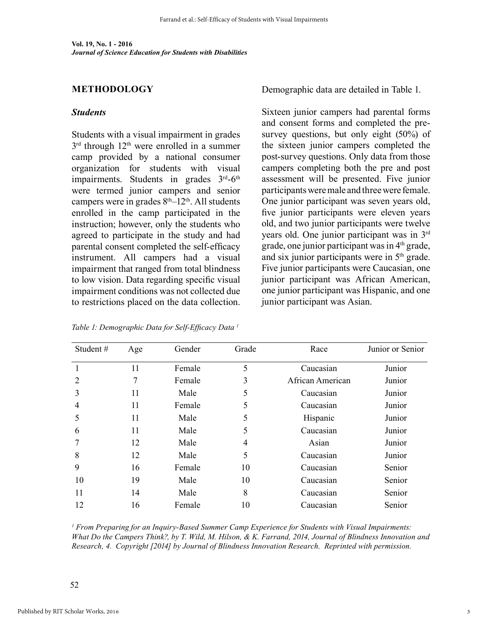### **METHODOLOGY**

### *Students*

Students with a visual impairment in grades 3<sup>rd</sup> through 12<sup>th</sup> were enrolled in a summer camp provided by a national consumer organization for students with visual impairments. Students in grades  $3<sup>rd</sup>-6<sup>th</sup>$ were termed junior campers and senior campers were in grades  $8<sup>th</sup>-12<sup>th</sup>$ . All students enrolled in the camp participated in the instruction; however, only the students who agreed to participate in the study and had parental consent completed the self-efficacy instrument. All campers had a visual impairment that ranged from total blindness to low vision. Data regarding specific visual impairment conditions was not collected due to restrictions placed on the data collection. Demographic data are detailed in Table 1.

Sixteen junior campers had parental forms and consent forms and completed the presurvey questions, but only eight (50%) of the sixteen junior campers completed the post-survey questions. Only data from those campers completing both the pre and post assessment will be presented. Five junior participants were male and three were female. One junior participant was seven years old, five junior participants were eleven years old, and two junior participants were twelve years old. One junior participant was in 3rd grade, one junior participant was in  $4<sup>th</sup>$  grade, and six junior participants were in 5th grade. Five junior participants were Caucasian, one junior participant was African American, one junior participant was Hispanic, and one junior participant was Asian.

| Student#<br>Age |    | Gender | Grade          | Race             | Junior or Senior |  |
|-----------------|----|--------|----------------|------------------|------------------|--|
|                 | 11 | Female | 5              | Caucasian        | Junior           |  |
| 2               | 7  | Female | 3              | African American | Junior           |  |
| 3               | 11 | Male   | 5              | Caucasian        | Junior           |  |
| $\overline{4}$  | 11 | Female | 5              | Caucasian        | Junior           |  |
| 5               | 11 | Male   | 5              | Hispanic         | Junior           |  |
| 6               | 11 | Male   | 5              | Caucasian        | Junior           |  |
|                 | 12 | Male   | $\overline{4}$ | Asian            | Junior           |  |
| 8               | 12 | Male   | 5              | Caucasian        | Junior           |  |
| 9               | 16 | Female | 10             | Caucasian        | Senior           |  |
| 10              | 19 | Male   | 10             | Caucasian        | Senior           |  |
| 11              | 14 | Male   | 8              | Caucasian        | Senior           |  |
| 12              | 16 | Female | 10             | Caucasian        | Senior           |  |

*Table 1: Demographic Data for Self-Efficacy Data 1*

*1 From Preparing for an Inquiry-Based Summer Camp Experience for Students with Visual Impairments: What Do the Campers Think?, by T. Wild, M. Hilson, & K. Farrand, 2014, Journal of Blindness Innovation and Research, 4. Copyright [2014] by Journal of Blindness Innovation Research. Reprinted with permission.*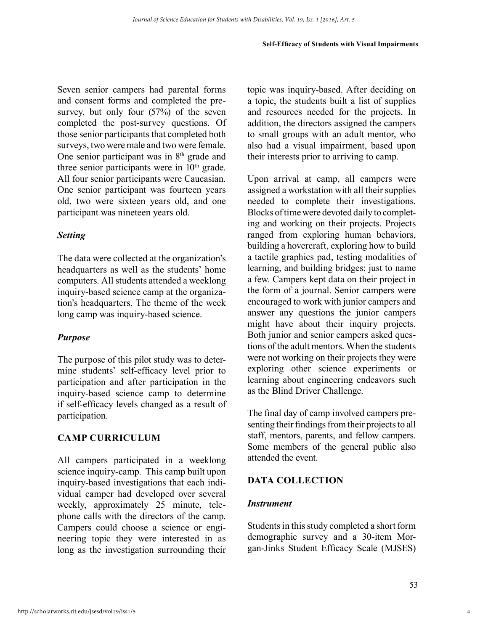Seven senior campers had parental forms and consent forms and completed the presurvey, but only four (57%) of the seven completed the post-survey questions. Of those senior participants that completed both surveys, two were male and two were female. One senior participant was in 8<sup>th</sup> grade and three senior participants were in  $10<sup>th</sup>$  grade. All four senior participants were Caucasian. One senior participant was fourteen years old, two were sixteen years old, and one participant was nineteen years old.

# *Setting*

The data were collected at the organization's headquarters as well as the students' home computers. All students attended a weeklong inquiry-based science camp at the organization's headquarters. The theme of the week long camp was inquiry-based science.

# *Purpose*

The purpose of this pilot study was to determine students' self-efficacy level prior to participation and after participation in the inquiry-based science camp to determine if self-efficacy levels changed as a result of participation.

# **CAMP CURRICULUM**

All campers participated in a weeklong science inquiry-camp. This camp built upon inquiry-based investigations that each individual camper had developed over several weekly, approximately 25 minute, telephone calls with the directors of the camp. Campers could choose a science or engineering topic they were interested in as long as the investigation surrounding their topic was inquiry-based. After deciding on a topic, the students built a list of supplies and resources needed for the projects. In addition, the directors assigned the campers to small groups with an adult mentor, who also had a visual impairment, based upon their interests prior to arriving to camp.

Upon arrival at camp, all campers were assigned a workstation with all their supplies needed to complete their investigations. Blocks of time were devoted daily to completing and working on their projects. Projects ranged from exploring human behaviors, building a hovercraft, exploring how to build a tactile graphics pad, testing modalities of learning, and building bridges; just to name a few. Campers kept data on their project in the form of a journal. Senior campers were encouraged to work with junior campers and answer any questions the junior campers might have about their inquiry projects. Both junior and senior campers asked questions of the adult mentors. When the students were not working on their projects they were exploring other science experiments or learning about engineering endeavors such as the Blind Driver Challenge.

The final day of camp involved campers presenting their findings from their projects to all staff, mentors, parents, and fellow campers. Some members of the general public also attended the event.

# **DATA COLLECTION**

# *Instrument*

Students in this study completed a short form demographic survey and a 30-item Morgan-Jinks Student Efficacy Scale (MJSES)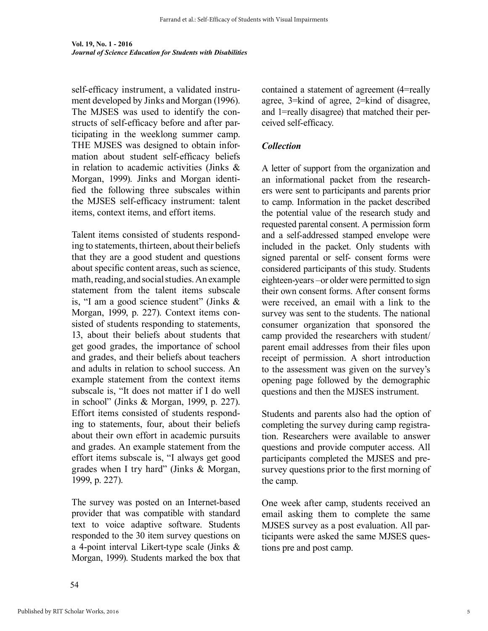self-efficacy instrument, a validated instrument developed by Jinks and Morgan (1996). The MJSES was used to identify the constructs of self-efficacy before and after participating in the weeklong summer camp. THE MJSES was designed to obtain information about student self-efficacy beliefs in relation to academic activities (Jinks & Morgan, 1999). Jinks and Morgan identified the following three subscales within the MJSES self-efficacy instrument: talent items, context items, and effort items.

Talent items consisted of students responding to statements, thirteen, about their beliefs that they are a good student and questions about specific content areas, such as science, math, reading, and social studies. An example statement from the talent items subscale is, "I am a good science student" (Jinks & Morgan, 1999, p. 227). Context items consisted of students responding to statements, 13, about their beliefs about students that get good grades, the importance of school and grades, and their beliefs about teachers and adults in relation to school success. An example statement from the context items subscale is, "It does not matter if I do well in school" (Jinks & Morgan, 1999, p. 227). Effort items consisted of students responding to statements, four, about their beliefs about their own effort in academic pursuits and grades. An example statement from the effort items subscale is, "I always get good grades when I try hard" (Jinks & Morgan, 1999, p. 227).

The survey was posted on an Internet-based provider that was compatible with standard text to voice adaptive software. Students responded to the 30 item survey questions on a 4-point interval Likert-type scale (Jinks & Morgan, 1999). Students marked the box that contained a statement of agreement (4=really agree, 3=kind of agree, 2=kind of disagree, and 1=really disagree) that matched their perceived self-efficacy.

### *Collection*

A letter of support from the organization and an informational packet from the researchers were sent to participants and parents prior to camp. Information in the packet described the potential value of the research study and requested parental consent. A permission form and a self-addressed stamped envelope were included in the packet. Only students with signed parental or self- consent forms were considered participants of this study. Students eighteen-years –or older were permitted to sign their own consent forms. After consent forms were received, an email with a link to the survey was sent to the students. The national consumer organization that sponsored the camp provided the researchers with student/ parent email addresses from their files upon receipt of permission. A short introduction to the assessment was given on the survey's opening page followed by the demographic questions and then the MJSES instrument.

Students and parents also had the option of completing the survey during camp registration. Researchers were available to answer questions and provide computer access. All participants completed the MJSES and presurvey questions prior to the first morning of the camp.

One week after camp, students received an email asking them to complete the same MJSES survey as a post evaluation. All participants were asked the same MJSES questions pre and post camp.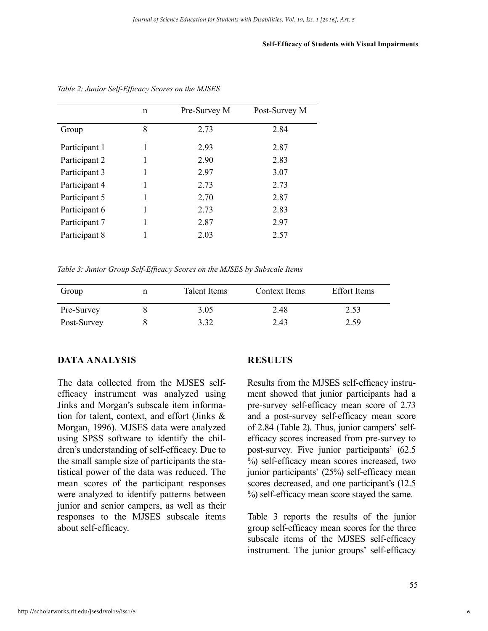#### **Self-Efficacy of Students with Visual Impairments**

|               | n | Pre-Survey M | Post-Survey M |
|---------------|---|--------------|---------------|
| Group         | 8 | 2.73         | 2.84          |
| Participant 1 | 1 | 2.93         | 2.87          |
| Participant 2 |   | 2.90         | 2.83          |
| Participant 3 |   | 2.97         | 3.07          |
| Participant 4 |   | 2.73         | 2.73          |
| Participant 5 | 1 | 2.70         | 2.87          |
| Participant 6 |   | 2.73         | 2.83          |
| Participant 7 |   | 2.87         | 2.97          |
| Participant 8 |   | 2.03         | 2.57          |

*Table 2: Junior Self-Efficacy Scores on the MJSES*

*Table 3: Junior Group Self-Efficacy Scores on the MJSES by Subscale Items*

| Group       | Talent Items | Context Items | <b>Effort</b> Items |
|-------------|--------------|---------------|---------------------|
| Pre-Survey  | 3.05         | 2.48          | 2.53                |
| Post-Survey | 3.32         | 2.43          | 2.59                |

### **DATA ANALYSIS**

The data collected from the MJSES selfefficacy instrument was analyzed using Jinks and Morgan's subscale item information for talent, context, and effort (Jinks & Morgan, 1996). MJSES data were analyzed using SPSS software to identify the children's understanding of self-efficacy. Due to the small sample size of participants the statistical power of the data was reduced. The mean scores of the participant responses were analyzed to identify patterns between junior and senior campers, as well as their responses to the MJSES subscale items about self-efficacy.

### **RESULTS**

Results from the MJSES self-efficacy instrument showed that junior participants had a pre-survey self-efficacy mean score of 2.73 and a post-survey self-efficacy mean score of 2.84 (Table 2). Thus, junior campers' selfefficacy scores increased from pre-survey to post-survey. Five junior participants' (62.5 %) self-efficacy mean scores increased, two junior participants' (25%) self-efficacy mean scores decreased, and one participant's (12.5 %) self-efficacy mean score stayed the same.

Table 3 reports the results of the junior group self-efficacy mean scores for the three subscale items of the MJSES self-efficacy instrument. The junior groups' self-efficacy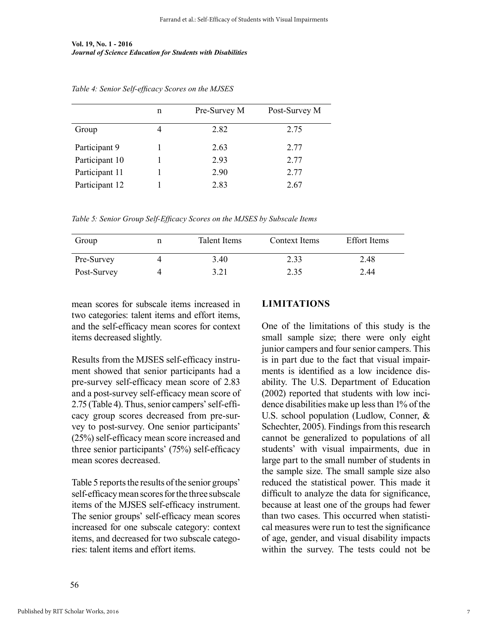#### **Vol. 19, No. 1 - 2016** *Journal of Science Education for Students with Disabilities*

|                | n | Pre-Survey M | Post-Survey M |
|----------------|---|--------------|---------------|
| Group          |   | 2.82         | 2.75          |
| Participant 9  |   | 2.63         | 2.77          |
| Participant 10 |   | 293          | 2.77          |
| Participant 11 |   | 2.90         | 2.77          |
| Participant 12 |   | 2.83         | 2.67          |

*Table 4: Senior Self-efficacy Scores on the MJSES*

*Table 5: Senior Group Self-Efficacy Scores on the MJSES by Subscale Items*

| Group       | Talent Items | Context Items | <b>Effort</b> Items |
|-------------|--------------|---------------|---------------------|
| Pre-Survey  | 3.40         | 2.33          | 2.48                |
| Post-Survey | 3.21         | 2.35          | 2.44                |

mean scores for subscale items increased in two categories: talent items and effort items, and the self-efficacy mean scores for context items decreased slightly.

Results from the MJSES self-efficacy instrument showed that senior participants had a pre-survey self-efficacy mean score of 2.83 and a post-survey self-efficacy mean score of 2.75 (Table 4). Thus, senior campers' self-efficacy group scores decreased from pre-survey to post-survey. One senior participants' (25%) self-efficacy mean score increased and three senior participants' (75%) self-efficacy mean scores decreased.

Table 5 reports the results of the senior groups' self-efficacy mean scores for the three subscale items of the MJSES self-efficacy instrument. The senior groups' self-efficacy mean scores increased for one subscale category: context items, and decreased for two subscale categories: talent items and effort items.

### **LIMITATIONS**

One of the limitations of this study is the small sample size; there were only eight junior campers and four senior campers. This is in part due to the fact that visual impairments is identified as a low incidence disability. The U.S. Department of Education (2002) reported that students with low incidence disabilities make up less than 1% of the U.S. school population (Ludlow, Conner, & Schechter, 2005). Findings from this research cannot be generalized to populations of all students' with visual impairments, due in large part to the small number of students in the sample size. The small sample size also reduced the statistical power. This made it difficult to analyze the data for significance, because at least one of the groups had fewer than two cases. This occurred when statistical measures were run to test the significance of age, gender, and visual disability impacts within the survey. The tests could not be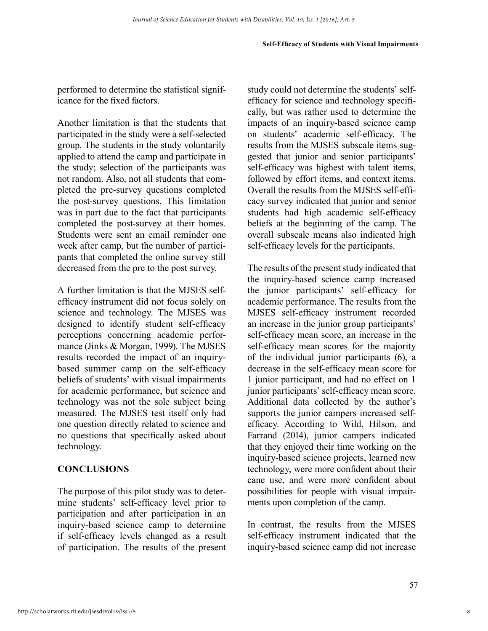#### **Self-Efficacy of Students with Visual Impairments**

performed to determine the statistical significance for the fixed factors.

Another limitation is that the students that participated in the study were a self-selected group. The students in the study voluntarily applied to attend the camp and participate in the study; selection of the participants was not random. Also, not all students that completed the pre-survey questions completed the post-survey questions. This limitation was in part due to the fact that participants completed the post-survey at their homes. Students were sent an email reminder one week after camp, but the number of participants that completed the online survey still decreased from the pre to the post survey.

A further limitation is that the MJSES selfefficacy instrument did not focus solely on science and technology. The MJSES was designed to identify student self-efficacy perceptions concerning academic performance (Jinks & Morgan, 1999). The MJSES results recorded the impact of an inquirybased summer camp on the self-efficacy beliefs of students' with visual impairments for academic performance, but science and technology was not the sole subject being measured. The MJSES test itself only had one question directly related to science and no questions that specifically asked about technology.

### **CONCLUSIONS**

The purpose of this pilot study was to determine students' self-efficacy level prior to participation and after participation in an inquiry-based science camp to determine if self-efficacy levels changed as a result of participation. The results of the present study could not determine the students' selfefficacy for science and technology specifically, but was rather used to determine the impacts of an inquiry-based science camp on students' academic self-efficacy. The results from the MJSES subscale items suggested that junior and senior participants' self-efficacy was highest with talent items, followed by effort items, and context items. Overall the results from the MJSES self-efficacy survey indicated that junior and senior students had high academic self-efficacy beliefs at the beginning of the camp. The overall subscale means also indicated high self-efficacy levels for the participants.

The results of the present study indicated that the inquiry-based science camp increased the junior participants' self-efficacy for academic performance. The results from the MJSES self-efficacy instrument recorded an increase in the junior group participants' self-efficacy mean score, an increase in the self-efficacy mean scores for the majority of the individual junior participants (6), a decrease in the self-efficacy mean score for 1 junior participant, and had no effect on 1 junior participants' self-efficacy mean score. Additional data collected by the author's supports the junior campers increased selfefficacy. According to Wild, Hilson, and Farrand (2014), junior campers indicated that they enjoyed their time working on the inquiry-based science projects, learned new technology, were more confident about their cane use, and were more confident about possibilities for people with visual impairments upon completion of the camp.

In contrast, the results from the MJSES self-efficacy instrument indicated that the inquiry-based science camp did not increase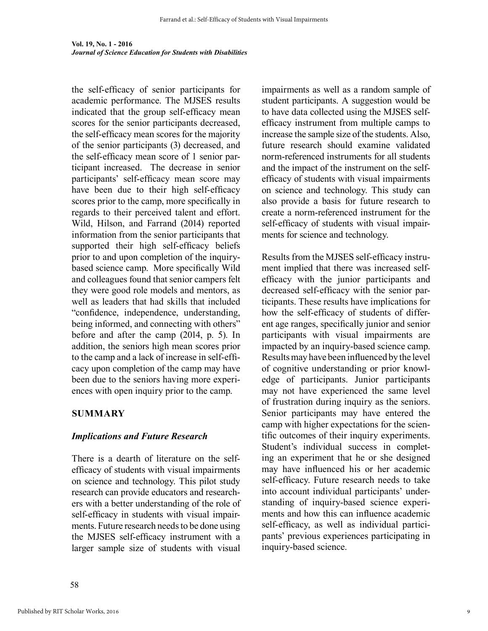the self-efficacy of senior participants for academic performance. The MJSES results indicated that the group self-efficacy mean scores for the senior participants decreased, the self-efficacy mean scores for the majority of the senior participants (3) decreased, and the self-efficacy mean score of 1 senior participant increased. The decrease in senior participants' self-efficacy mean score may have been due to their high self-efficacy scores prior to the camp, more specifically in regards to their perceived talent and effort. Wild, Hilson, and Farrand (2014) reported information from the senior participants that supported their high self-efficacy beliefs prior to and upon completion of the inquirybased science camp. More specifically Wild and colleagues found that senior campers felt they were good role models and mentors, as well as leaders that had skills that included "confidence, independence, understanding, being informed, and connecting with others" before and after the camp (2014, p. 5). In addition, the seniors high mean scores prior to the camp and a lack of increase in self-efficacy upon completion of the camp may have been due to the seniors having more experiences with open inquiry prior to the camp.

# **SUMMARY**

# *Implications and Future Research*

There is a dearth of literature on the selfefficacy of students with visual impairments on science and technology. This pilot study research can provide educators and researchers with a better understanding of the role of self-efficacy in students with visual impairments. Future research needs to be done using the MJSES self-efficacy instrument with a larger sample size of students with visual impairments as well as a random sample of student participants. A suggestion would be to have data collected using the MJSES selfefficacy instrument from multiple camps to increase the sample size of the students. Also, future research should examine validated norm-referenced instruments for all students and the impact of the instrument on the selfefficacy of students with visual impairments on science and technology. This study can also provide a basis for future research to create a norm-referenced instrument for the self-efficacy of students with visual impairments for science and technology.

Results from the MJSES self-efficacy instrument implied that there was increased selfefficacy with the junior participants and decreased self-efficacy with the senior participants. These results have implications for how the self-efficacy of students of different age ranges, specifically junior and senior participants with visual impairments are impacted by an inquiry-based science camp. Results may have been influenced by the level of cognitive understanding or prior knowledge of participants. Junior participants may not have experienced the same level of frustration during inquiry as the seniors. Senior participants may have entered the camp with higher expectations for the scientific outcomes of their inquiry experiments. Student's individual success in completing an experiment that he or she designed may have influenced his or her academic self-efficacy. Future research needs to take into account individual participants' understanding of inquiry-based science experiments and how this can influence academic self-efficacy, as well as individual participants' previous experiences participating in inquiry-based science.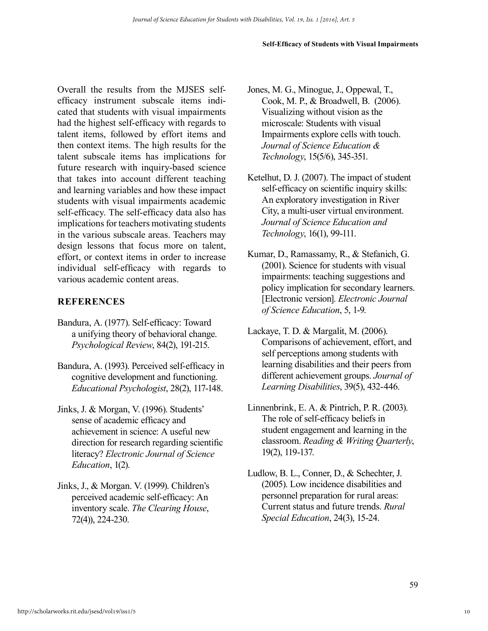#### **Self-Efficacy of Students with Visual Impairments**

Overall the results from the MJSES selfefficacy instrument subscale items indicated that students with visual impairments had the highest self-efficacy with regards to talent items, followed by effort items and then context items. The high results for the talent subscale items has implications for future research with inquiry-based science that takes into account different teaching and learning variables and how these impact students with visual impairments academic self-efficacy. The self-efficacy data also has implications for teachers motivating students in the various subscale areas. Teachers may design lessons that focus more on talent, effort, or context items in order to increase individual self-efficacy with regards to various academic content areas.

## **REFERENCES**

- Bandura, A. (1977). Self-efficacy: Toward a unifying theory of behavioral change. *Psychological Review*, 84(2), 191-215.
- Bandura, A. (1993). Perceived self-efficacy in cognitive development and functioning. *Educational Psychologist*, 28(2), 117-148.
- Jinks, J. & Morgan, V. (1996). Students' sense of academic efficacy and achievement in science: A useful new direction for research regarding scientific literacy? *Electronic Journal of Science Education*, 1(2).
- Jinks, J., & Morgan. V. (1999). Children's perceived academic self-efficacy: An inventory scale. *The Clearing House*, 72(4)), 224-230.
- Jones, M. G., Minogue, J., Oppewal, T., Cook, M. P., & Broadwell, B. (2006). Visualizing without vision as the microscale: Students with visual Impairments explore cells with touch. *Journal of Science Education & Technology*, 15(5/6), 345-351.
- Ketelhut, D. J. (2007). The impact of student self-efficacy on scientific inquiry skills: An exploratory investigation in River City, a multi-user virtual environment. *Journal of Science Education and Technology*, 16(1), 99-111.
- Kumar, D., Ramassamy, R., & Stefanich, G. (2001). Science for students with visual impairments: teaching suggestions and policy implication for secondary learners. [Electronic version]. *Electronic Journal of Science Education*, 5, 1-9.
- Lackaye, T. D. & Margalit, M. (2006). Comparisons of achievement, effort, and self perceptions among students with learning disabilities and their peers from different achievement groups. *Journal of Learning Disabilities*, 39(5), 432-446.
- Linnenbrink, E. A. & Pintrich, P. R. (2003). The role of self-efficacy beliefs in student engagement and learning in the classroom. *Reading & Writing Quarterly*, 19(2), 119-137.
- Ludlow, B. L., Conner, D., & Schechter, J. (2005). Low incidence disabilities and personnel preparation for rural areas: Current status and future trends. *Rural Special Education*, 24(3), 15-24.